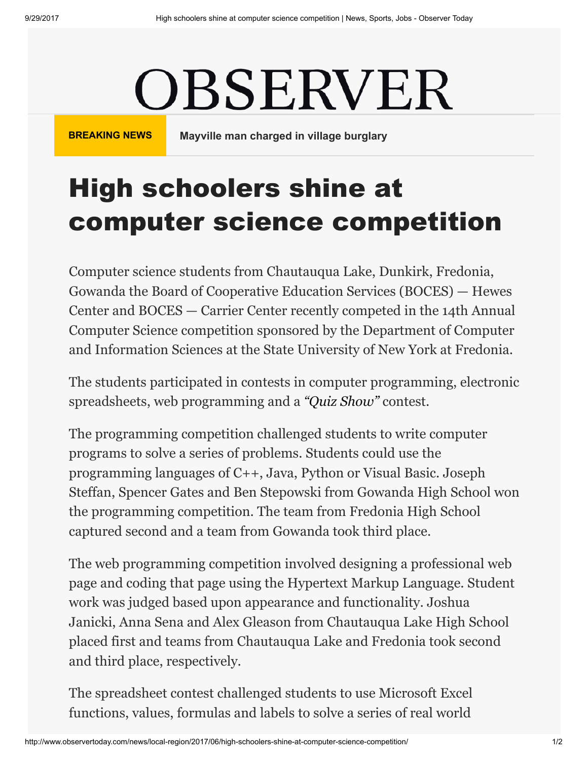## OBSERVER

**BREAKING NEWS** [Mayville man charged in village burglary](http://www.observertoday.com/news/local-region/2017/09/mayville-man-charged-in-village-burglary/)

## High schoolers shine at computer science competition

Computer science students from Chautauqua Lake, Dunkirk, Fredonia, Gowanda the Board of Cooperative Education Services (BOCES) — Hewes Center and BOCES — Carrier Center recently competed in the 14th Annual Computer Science competition sponsored by the Department of Computer and Information Sciences at the State University of New York at Fredonia.

The students participated in contests in computer programming, electronic spreadsheets, web programming and a *"Quiz Show"* contest.

The programming competition challenged students to write computer programs to solve a series of problems. Students could use the programming languages of C++, Java, Python or Visual Basic. Joseph Steffan, Spencer Gates and Ben Stepowski from Gowanda High School won the programming competition. The team from Fredonia High School captured second and a team from Gowanda took third place.

The web programming competition involved designing a professional web page and coding that page using the Hypertext Markup Language. Student work was judged based upon appearance and functionality. Joshua Janicki, Anna Sena and Alex Gleason from Chautauqua Lake High School placed first and teams from Chautauqua Lake and Fredonia took second and third place, respectively.

The spreadsheet contest challenged students to use Microsoft Excel functions, values, formulas and labels to solve a series of real world